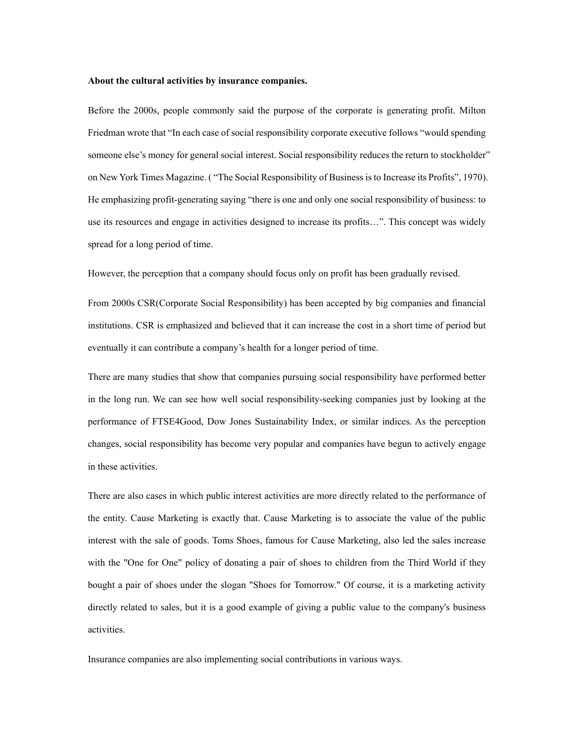## **About the cultural activities by insurance companies.**

Before the 2000s, people commonly said the purpose of the corporate is generating profit. Milton Friedman wrote that "In each case of social responsibility corporate executive follows "would spending someone else's money for general social interest. Social responsibility reduces the return to stockholder" on New York Times Magazine. ( "The Social Responsibility of Business is to Increase its Profits", 1970). He emphasizing profit-generating saying "there is one and only one social responsibility of business: to use its resources and engage in activities designed to increase its profits…". This concept was widely spread for a long period of time.

However, the perception that a company should focus only on profit has been gradually revised.

From 2000s CSR(Corporate Social Responsibility) has been accepted by big companies and financial institutions. CSR is emphasized and believed that it can increase the cost in a short time of period but eventually it can contribute a company's health for a longer period of time.

There are many studies that show that companies pursuing social responsibility have performed better in the long run. We can see how well social responsibility-seeking companies just by looking at the performance of FTSE4Good, Dow Jones Sustainability Index, or similar indices. As the perception changes, social responsibility has become very popular and companies have begun to actively engage in these activities.

There are also cases in which public interest activities are more directly related to the performance of the entity. Cause Marketing is exactly that. Cause Marketing is to associate the value of the public interest with the sale of goods. Toms Shoes, famous for Cause Marketing, also led the sales increase with the "One for One" policy of donating a pair of shoes to children from the Third World if they bought a pair of shoes under the slogan "Shoes for Tomorrow." Of course, it is a marketing activity directly related to sales, but it is a good example of giving a public value to the company's business activities.

Insurance companies are also implementing social contributions in various ways.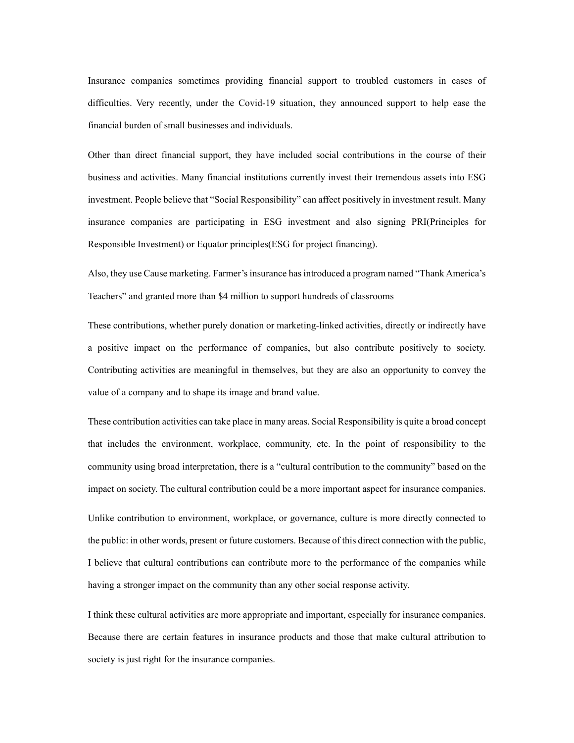Insurance companies sometimes providing financial support to troubled customers in cases of difficulties. Very recently, under the Covid-19 situation, they announced support to help ease the financial burden of small businesses and individuals.

Other than direct financial support, they have included social contributions in the course of their business and activities. Many financial institutions currently invest their tremendous assets into ESG investment. People believe that "Social Responsibility" can affect positively in investment result. Many insurance companies are participating in ESG investment and also signing PRI(Principles for Responsible Investment) or Equator principles(ESG for project financing).

Also, they use Cause marketing. Farmer's insurance has introduced a program named "Thank America's Teachers" and granted more than \$4 million to support hundreds of classrooms

These contributions, whether purely donation or marketing-linked activities, directly or indirectly have a positive impact on the performance of companies, but also contribute positively to society. Contributing activities are meaningful in themselves, but they are also an opportunity to convey the value of a company and to shape its image and brand value.

These contribution activities can take place in many areas. Social Responsibility is quite a broad concept that includes the environment, workplace, community, etc. In the point of responsibility to the community using broad interpretation, there is a "cultural contribution to the community" based on the impact on society. The cultural contribution could be a more important aspect for insurance companies.

Unlike contribution to environment, workplace, or governance, culture is more directly connected to the public: in other words, present or future customers. Because of this direct connection with the public, I believe that cultural contributions can contribute more to the performance of the companies while having a stronger impact on the community than any other social response activity.

I think these cultural activities are more appropriate and important, especially for insurance companies. Because there are certain features in insurance products and those that make cultural attribution to society is just right for the insurance companies.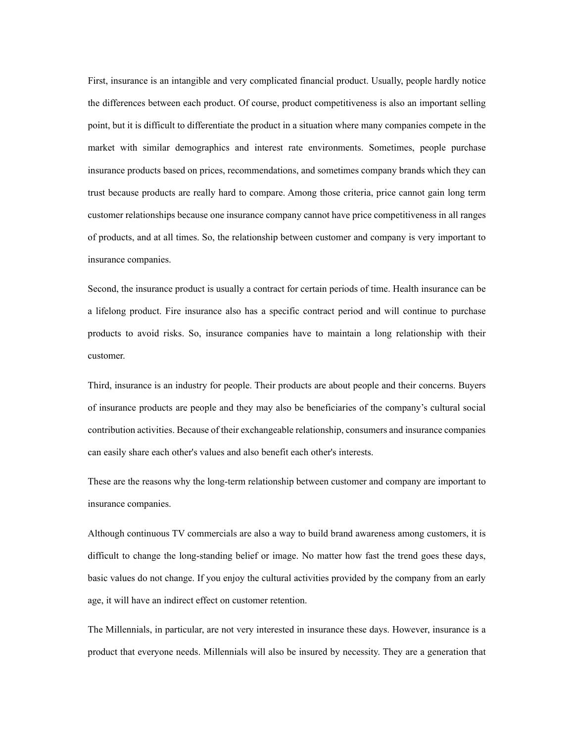First, insurance is an intangible and very complicated financial product. Usually, people hardly notice the differences between each product. Of course, product competitiveness is also an important selling point, but it is difficult to differentiate the product in a situation where many companies compete in the market with similar demographics and interest rate environments. Sometimes, people purchase insurance products based on prices, recommendations, and sometimes company brands which they can trust because products are really hard to compare. Among those criteria, price cannot gain long term customer relationships because one insurance company cannot have price competitiveness in all ranges of products, and at all times. So, the relationship between customer and company is very important to insurance companies.

Second, the insurance product is usually a contract for certain periods of time. Health insurance can be a lifelong product. Fire insurance also has a specific contract period and will continue to purchase products to avoid risks. So, insurance companies have to maintain a long relationship with their customer.

Third, insurance is an industry for people. Their products are about people and their concerns. Buyers of insurance products are people and they may also be beneficiaries of the company's cultural social contribution activities. Because of their exchangeable relationship, consumers and insurance companies can easily share each other's values and also benefit each other's interests.

These are the reasons why the long-term relationship between customer and company are important to insurance companies.

Although continuous TV commercials are also a way to build brand awareness among customers, it is difficult to change the long-standing belief or image. No matter how fast the trend goes these days, basic values do not change. If you enjoy the cultural activities provided by the company from an early age, it will have an indirect effect on customer retention.

The Millennials, in particular, are not very interested in insurance these days. However, insurance is a product that everyone needs. Millennials will also be insured by necessity. They are a generation that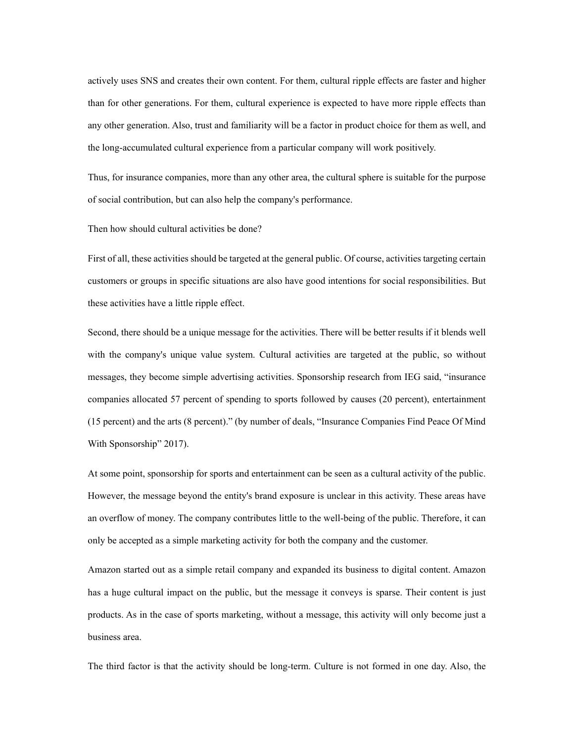actively uses SNS and creates their own content. For them, cultural ripple effects are faster and higher than for other generations. For them, cultural experience is expected to have more ripple effects than any other generation. Also, trust and familiarity will be a factor in product choice for them as well, and the long-accumulated cultural experience from a particular company will work positively.

Thus, for insurance companies, more than any other area, the cultural sphere is suitable for the purpose of social contribution, but can also help the company's performance.

Then how should cultural activities be done?

First of all, these activities should be targeted at the general public. Of course, activities targeting certain customers or groups in specific situations are also have good intentions for social responsibilities. But these activities have a little ripple effect.

Second, there should be a unique message for the activities. There will be better results if it blends well with the company's unique value system. Cultural activities are targeted at the public, so without messages, they become simple advertising activities. Sponsorship research from IEG said, "insurance companies allocated 57 percent of spending to sports followed by causes (20 percent), entertainment (15 percent) and the arts (8 percent)." (by number of deals, "Insurance Companies Find Peace Of Mind With Sponsorship" 2017).

At some point, sponsorship for sports and entertainment can be seen as a cultural activity of the public. However, the message beyond the entity's brand exposure is unclear in this activity. These areas have an overflow of money. The company contributes little to the well-being of the public. Therefore, it can only be accepted as a simple marketing activity for both the company and the customer.

Amazon started out as a simple retail company and expanded its business to digital content. Amazon has a huge cultural impact on the public, but the message it conveys is sparse. Their content is just products. As in the case of sports marketing, without a message, this activity will only become just a business area.

The third factor is that the activity should be long-term. Culture is not formed in one day. Also, the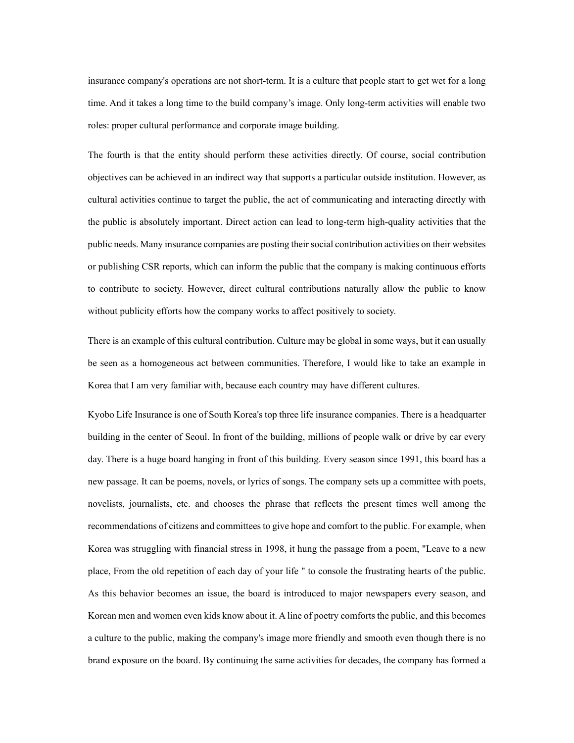insurance company's operations are not short-term. It is a culture that people start to get wet for a long time. And it takes a long time to the build company's image. Only long-term activities will enable two roles: proper cultural performance and corporate image building.

The fourth is that the entity should perform these activities directly. Of course, social contribution objectives can be achieved in an indirect way that supports a particular outside institution. However, as cultural activities continue to target the public, the act of communicating and interacting directly with the public is absolutely important. Direct action can lead to long-term high-quality activities that the public needs. Many insurance companies are posting their social contribution activities on their websites or publishing CSR reports, which can inform the public that the company is making continuous efforts to contribute to society. However, direct cultural contributions naturally allow the public to know without publicity efforts how the company works to affect positively to society.

There is an example of this cultural contribution. Culture may be global in some ways, but it can usually be seen as a homogeneous act between communities. Therefore, I would like to take an example in Korea that I am very familiar with, because each country may have different cultures.

Kyobo Life Insurance is one of South Korea's top three life insurance companies. There is a headquarter building in the center of Seoul. In front of the building, millions of people walk or drive by car every day. There is a huge board hanging in front of this building. Every season since 1991, this board has a new passage. It can be poems, novels, or lyrics of songs. The company sets up a committee with poets, novelists, journalists, etc. and chooses the phrase that reflects the present times well among the recommendations of citizens and committees to give hope and comfort to the public. For example, when Korea was struggling with financial stress in 1998, it hung the passage from a poem, "Leave to a new place, From the old repetition of each day of your life " to console the frustrating hearts of the public. As this behavior becomes an issue, the board is introduced to major newspapers every season, and Korean men and women even kids know about it. A line of poetry comforts the public, and this becomes a culture to the public, making the company's image more friendly and smooth even though there is no brand exposure on the board. By continuing the same activities for decades, the company has formed a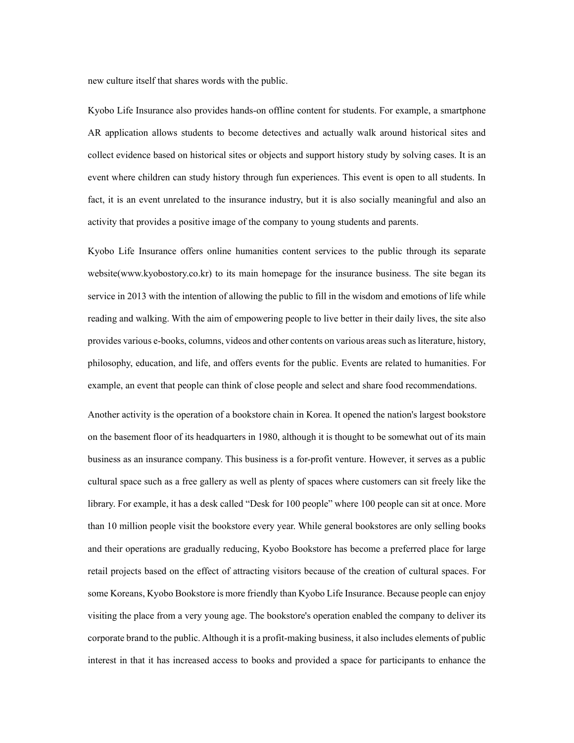new culture itself that shares words with the public.

Kyobo Life Insurance also provides hands-on offline content for students. For example, a smartphone AR application allows students to become detectives and actually walk around historical sites and collect evidence based on historical sites or objects and support history study by solving cases. It is an event where children can study history through fun experiences. This event is open to all students. In fact, it is an event unrelated to the insurance industry, but it is also socially meaningful and also an activity that provides a positive image of the company to young students and parents.

Kyobo Life Insurance offers online humanities content services to the public through its separate website(www.kyobostory.co.kr) to its main homepage for the insurance business. The site began its service in 2013 with the intention of allowing the public to fill in the wisdom and emotions of life while reading and walking. With the aim of empowering people to live better in their daily lives, the site also provides various e-books, columns, videos and other contents on various areas such as literature, history, philosophy, education, and life, and offers events for the public. Events are related to humanities. For example, an event that people can think of close people and select and share food recommendations.

Another activity is the operation of a bookstore chain in Korea. It opened the nation's largest bookstore on the basement floor of its headquarters in 1980, although it is thought to be somewhat out of its main business as an insurance company. This business is a for-profit venture. However, it serves as a public cultural space such as a free gallery as well as plenty of spaces where customers can sit freely like the library. For example, it has a desk called "Desk for 100 people" where 100 people can sit at once. More than 10 million people visit the bookstore every year. While general bookstores are only selling books and their operations are gradually reducing, Kyobo Bookstore has become a preferred place for large retail projects based on the effect of attracting visitors because of the creation of cultural spaces. For some Koreans, Kyobo Bookstore is more friendly than Kyobo Life Insurance. Because people can enjoy visiting the place from a very young age. The bookstore's operation enabled the company to deliver its corporate brand to the public. Although it is a profit-making business, it also includes elements of public interest in that it has increased access to books and provided a space for participants to enhance the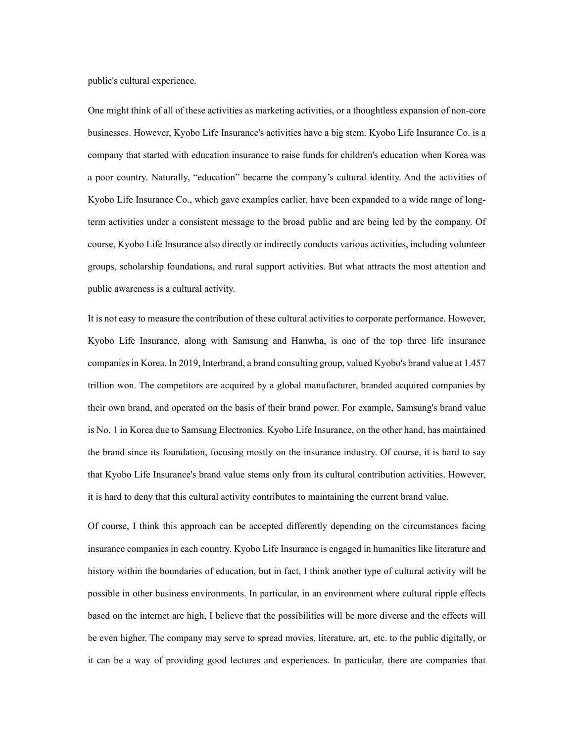public's cultural experience.

One might think of all of these activities as marketing activities, or a thoughtless expansion of non-core businesses. However, Kyobo Life Insurance's activities have a big stem. Kyobo Life Insurance Co. is a company that started with education insurance to raise funds for children's education when Korea was a poor country. Naturally, "education" became the company's cultural identity. And the activities of Kyobo Life Insurance Co., which gave examples earlier, have been expanded to a wide range of longterm activities under a consistent message to the broad public and are being led by the company. Of course, Kyobo Life Insurance also directly or indirectly conducts various activities, including volunteer groups, scholarship foundations, and rural support activities. But what attracts the most attention and public awareness is a cultural activity.

It is not easy to measure the contribution of these cultural activities to corporate performance. However, Kyobo Life Insurance, along with Samsung and Hanwha, is one of the top three life insurance companies in Korea. In 2019, Interbrand, a brand consulting group, valued Kyobo's brand value at 1.457 trillion won. The competitors are acquired by a global manufacturer, branded acquired companies by their own brand, and operated on the basis of their brand power. For example, Samsung's brand value is No. 1 in Korea due to Samsung Electronics. Kyobo Life Insurance, on the other hand, has maintained the brand since its foundation, focusing mostly on the insurance industry. Of course, it is hard to say that Kyobo Life Insurance's brand value stems only from its cultural contribution activities. However, it is hard to deny that this cultural activity contributes to maintaining the current brand value.

Of course, I think this approach can be accepted differently depending on the circumstances facing insurance companies in each country. Kyobo Life Insurance is engaged in humanities like literature and history within the boundaries of education, but in fact, I think another type of cultural activity will be possible in other business environments. In particular, in an environment where cultural ripple effects based on the internet are high, I believe that the possibilities will be more diverse and the effects will be even higher. The company may serve to spread movies, literature, art, etc. to the public digitally, or it can be a way of providing good lectures and experiences. In particular, there are companies that